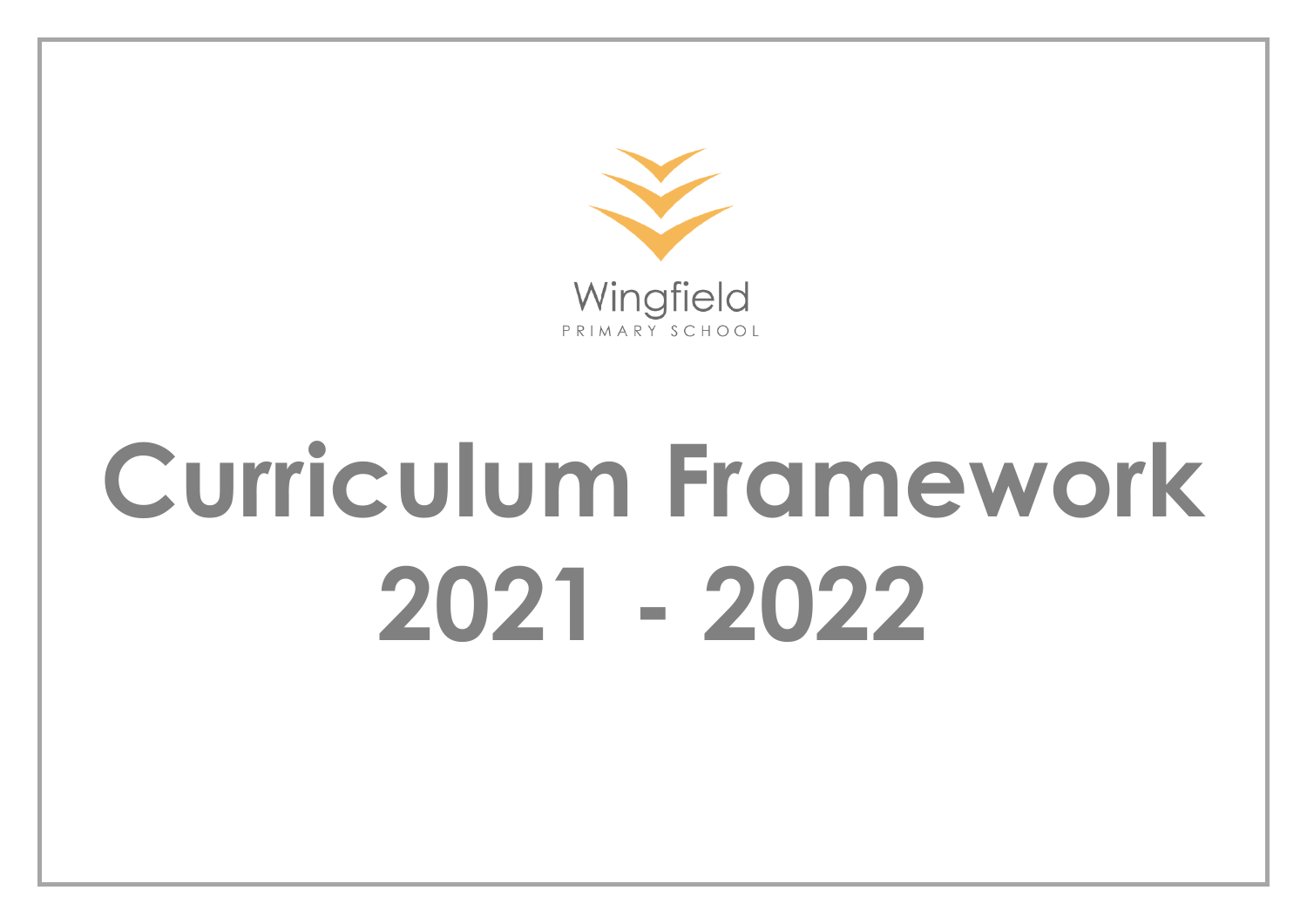

# **Curriculum Framework 2021 - 2022**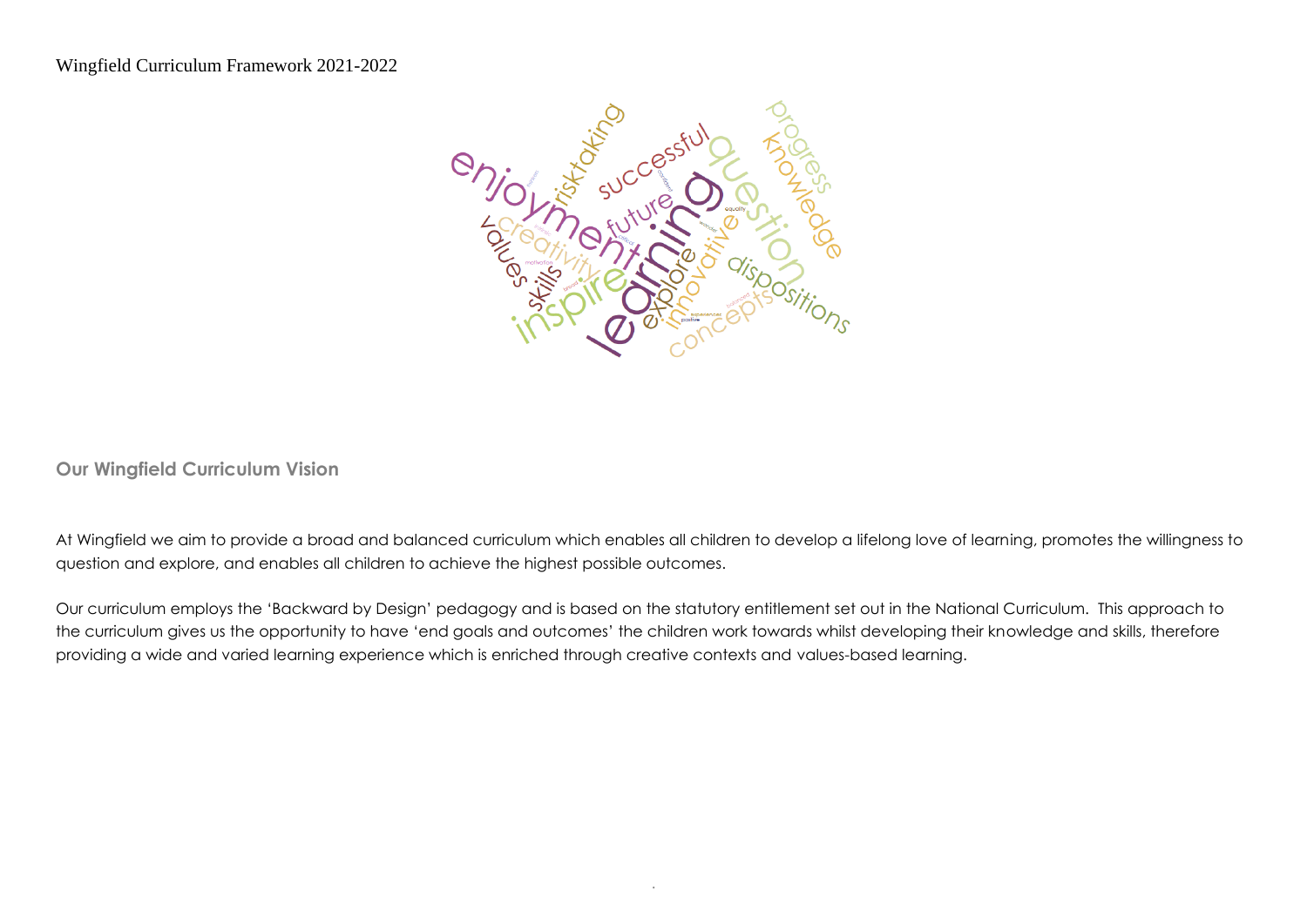

**Our Wingfield Curriculum Vision**

At Wingfield we aim to provide a broad and balanced curriculum which enables all children to develop a lifelong love of learning, promotes the willingness to question and explore, and enables all children to achieve the highest possible outcomes.

Our curriculum employs the 'Backward by Design' pedagogy and is based on the statutory entitlement set out in the National Curriculum. This approach to the curriculum gives us the opportunity to have 'end goals and outcomes' the children work towards whilst developing their knowledge and skills, therefore providing a wide and varied learning experience which is enriched through creative contexts and values-based learning.

.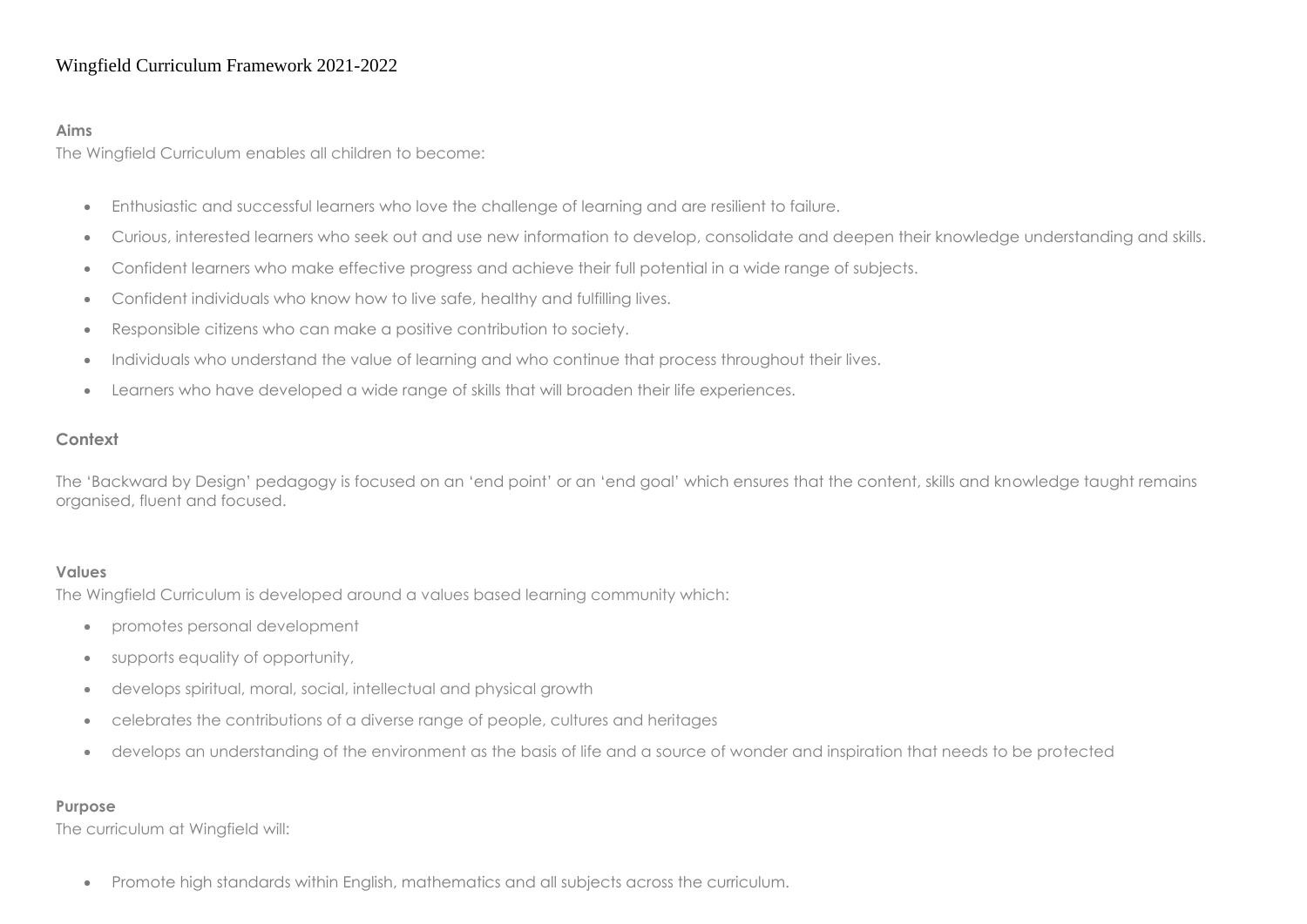#### **Aims**

The Wingfield Curriculum enables all children to become:

- Enthusiastic and successful learners who love the challenge of learning and are resilient to failure.
- Curious, interested learners who seek out and use new information to develop, consolidate and deepen their knowledge understanding and skills.
- Confident learners who make effective progress and achieve their full potential in a wide range of subjects.
- Confident individuals who know how to live safe, healthy and fulfilling lives.
- Responsible citizens who can make a positive contribution to society.
- Individuals who understand the value of learning and who continue that process throughout their lives.
- Learners who have developed a wide range of skills that will broaden their life experiences.

#### **Context**

The 'Backward by Design' pedagogy is focused on an 'end point' or an 'end goal' which ensures that the content, skills and knowledge taught remains organised, fluent and focused.

#### **Values**

The Wingfield Curriculum is developed around a values based learning community which:

- promotes personal development
- supports equality of opportunity,
- develops spiritual, moral, social, intellectual and physical growth
- celebrates the contributions of a diverse range of people, cultures and heritages
- develops an understanding of the environment as the basis of life and a source of wonder and inspiration that needs to be protected

#### **Purpose**

The curriculum at Wingfield will:

• Promote high standards within English, mathematics and all subjects across the curriculum.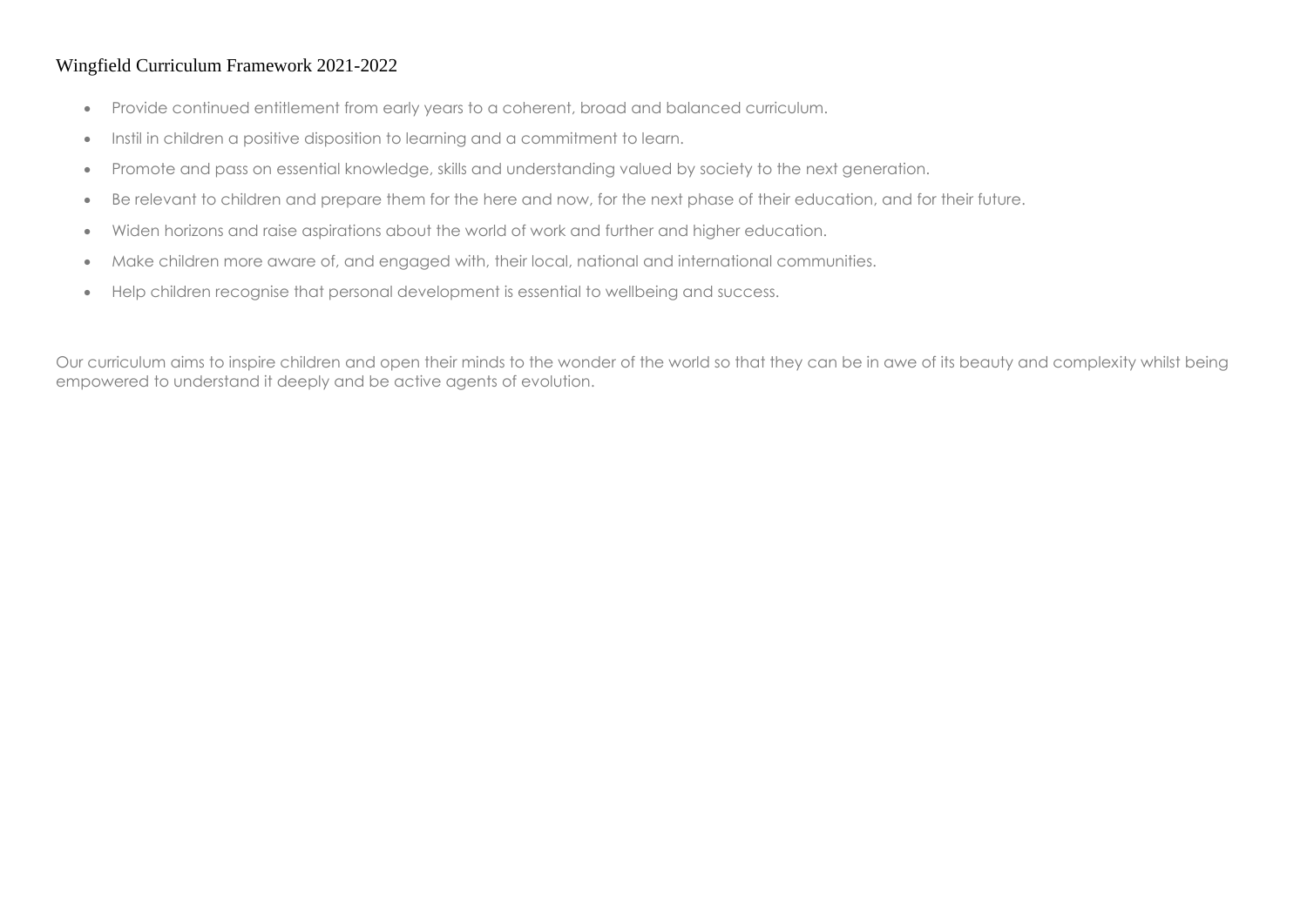- Provide continued entitlement from early years to a coherent, broad and balanced curriculum.
- Instil in children a positive disposition to learning and a commitment to learn.
- Promote and pass on essential knowledge, skills and understanding valued by society to the next generation.
- Be relevant to children and prepare them for the here and now, for the next phase of their education, and for their future.
- Widen horizons and raise aspirations about the world of work and further and higher education.
- Make children more aware of, and engaged with, their local, national and international communities.
- Help children recognise that personal development is essential to wellbeing and success.

Our curriculum aims to inspire children and open their minds to the wonder of the world so that they can be in awe of its beauty and complexity whilst being empowered to understand it deeply and be active agents of evolution.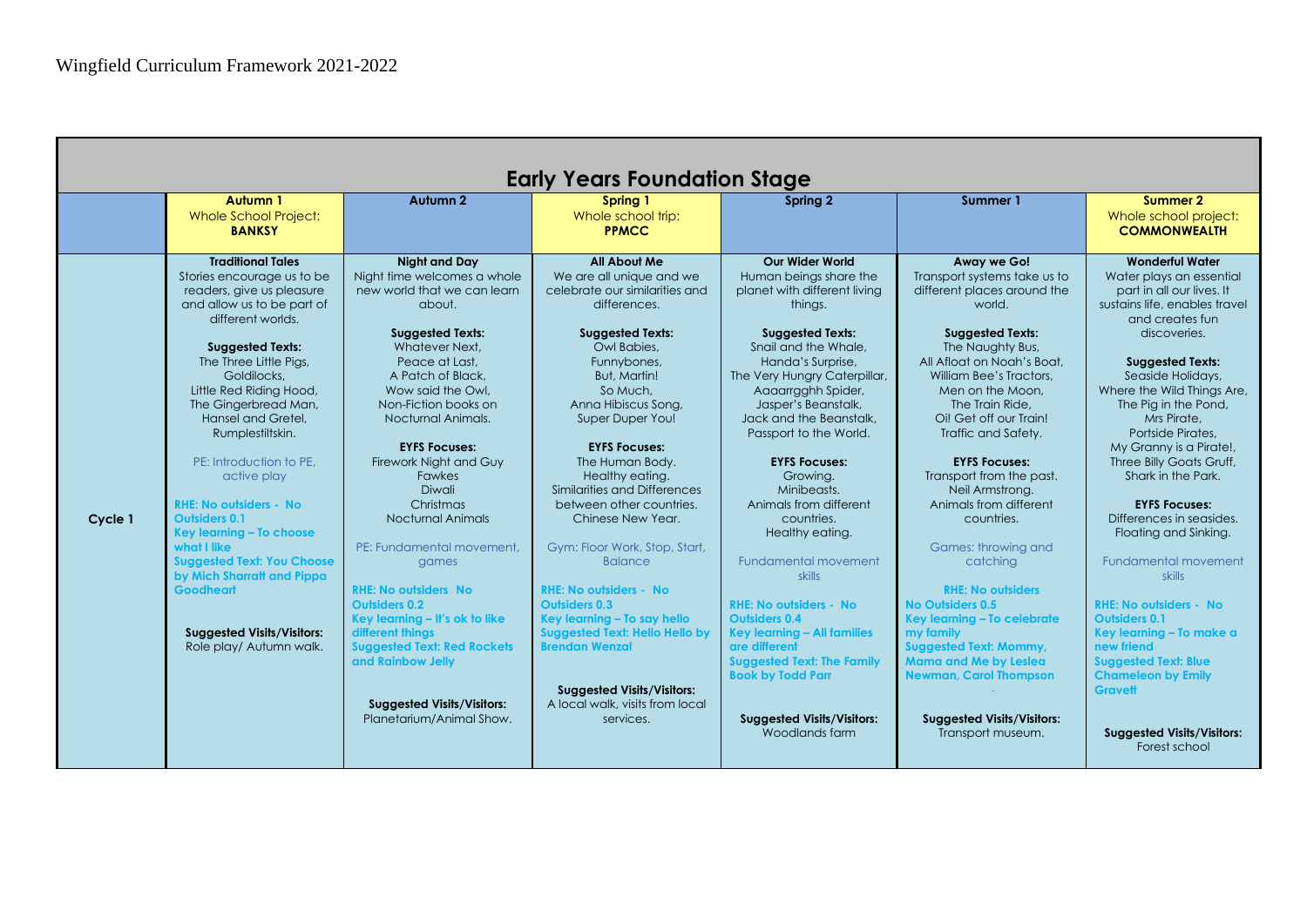|         |                                                                                                                                                                                                                                                                                                                                                                                                                                                                                                                                                                                                              |                                                                                                                                                                                                                                                                                                                                                                                                                                                                                                                                                                                                                                                    | <b>Early Years Foundation Stage</b>                                                                                                                                                                                                                                                                                                                                                                                                                                                                                                                                                                                                                                                |                                                                                                                                                                                                                                                                                                                                                                                                                                                                                                                                                                                                                                                                                                      |                                                                                                                                                                                                                                                                                                                                                                                                                                                                                                                                                                                                                                                                                                |                                                                                                                                                                                                                                                                                                                                                                                                                                                                                                                                                                                                                                                                                                                                                |
|---------|--------------------------------------------------------------------------------------------------------------------------------------------------------------------------------------------------------------------------------------------------------------------------------------------------------------------------------------------------------------------------------------------------------------------------------------------------------------------------------------------------------------------------------------------------------------------------------------------------------------|----------------------------------------------------------------------------------------------------------------------------------------------------------------------------------------------------------------------------------------------------------------------------------------------------------------------------------------------------------------------------------------------------------------------------------------------------------------------------------------------------------------------------------------------------------------------------------------------------------------------------------------------------|------------------------------------------------------------------------------------------------------------------------------------------------------------------------------------------------------------------------------------------------------------------------------------------------------------------------------------------------------------------------------------------------------------------------------------------------------------------------------------------------------------------------------------------------------------------------------------------------------------------------------------------------------------------------------------|------------------------------------------------------------------------------------------------------------------------------------------------------------------------------------------------------------------------------------------------------------------------------------------------------------------------------------------------------------------------------------------------------------------------------------------------------------------------------------------------------------------------------------------------------------------------------------------------------------------------------------------------------------------------------------------------------|------------------------------------------------------------------------------------------------------------------------------------------------------------------------------------------------------------------------------------------------------------------------------------------------------------------------------------------------------------------------------------------------------------------------------------------------------------------------------------------------------------------------------------------------------------------------------------------------------------------------------------------------------------------------------------------------|------------------------------------------------------------------------------------------------------------------------------------------------------------------------------------------------------------------------------------------------------------------------------------------------------------------------------------------------------------------------------------------------------------------------------------------------------------------------------------------------------------------------------------------------------------------------------------------------------------------------------------------------------------------------------------------------------------------------------------------------|
|         | Autumn 1<br><b>Whole School Project:</b><br><b>BANKSY</b>                                                                                                                                                                                                                                                                                                                                                                                                                                                                                                                                                    | Autumn <sub>2</sub>                                                                                                                                                                                                                                                                                                                                                                                                                                                                                                                                                                                                                                | Spring 1<br>Whole school trip:<br><b>PPMCC</b>                                                                                                                                                                                                                                                                                                                                                                                                                                                                                                                                                                                                                                     | Spring 2                                                                                                                                                                                                                                                                                                                                                                                                                                                                                                                                                                                                                                                                                             | Summer 1                                                                                                                                                                                                                                                                                                                                                                                                                                                                                                                                                                                                                                                                                       | Summer 2<br>Whole school project:<br><b>COMMONWEALTH</b>                                                                                                                                                                                                                                                                                                                                                                                                                                                                                                                                                                                                                                                                                       |
| Cycle 1 | <b>Traditional Tales</b><br>Stories encourage us to be<br>readers, give us pleasure<br>and allow us to be part of<br>different worlds.<br><b>Suggested Texts:</b><br>The Three Little Pigs,<br>Goldilocks,<br>Little Red Riding Hood,<br>The Gingerbread Man,<br>Hansel and Gretel.<br>Rumplestiltskin.<br>PE: Introduction to PE.<br>active play<br><b>RHE: No outsiders - No</b><br><b>Outsiders 0.1</b><br>Key learning - To choose<br>what I like<br><b>Suggested Text: You Choose</b><br>by Mich Sharratt and Pippa<br><b>Goodheart</b><br><b>Suggested Visits/Visitors:</b><br>Role play/ Autumn walk. | <b>Night and Day</b><br>Night time welcomes a whole<br>new world that we can learn<br>about.<br><b>Suggested Texts:</b><br>Whatever Next.<br>Peace at Last.<br>A Patch of Black,<br>Wow said the Owl.<br>Non-Fiction books on<br>Nocturnal Animals.<br><b>EYFS Focuses:</b><br>Firework Night and Guy<br><b>Fawkes</b><br>Diwali<br>Christmas<br>Nocturnal Animals<br>PE: Fundamental movement.<br>games<br><b>RHE: No outsiders No.</b><br><b>Outsiders 0.2</b><br>Key learning - It's ok to like<br>different things<br><b>Suggested Text: Red Rockets</b><br>and Rainbow Jelly<br><b>Suggested Visits/Visitors:</b><br>Planetarium/Animal Show. | <b>All About Me</b><br>We are all unique and we<br>celebrate our similarities and<br>differences.<br><b>Suggested Texts:</b><br>Owl Babies,<br>Funnybones,<br>But, Martin!<br>So Much.<br>Anna Hibiscus Song,<br>Super Duper You!<br><b>EYFS Focuses:</b><br>The Human Body.<br>Healthy eating.<br>Similarities and Differences<br>between other countries.<br>Chinese New Year.<br>Gym: Floor Work, Stop, Start,<br><b>Balance</b><br><b>RHE: No outsiders - No</b><br><b>Outsiders 0.3</b><br>Key learning - To say hello<br><b>Suggested Text: Hello Hello by</b><br><b>Brendan Wenzal</b><br><b>Suggested Visits/Visitors:</b><br>A local walk, visits from local<br>services. | <b>Our Wider World</b><br>Human beings share the<br>planet with different living<br>thinas.<br><b>Suggested Texts:</b><br>Snail and the Whale,<br>Handa's Surprise.<br>The Very Hungry Caterpillar,<br>Aaaarrgghh Spider,<br>Jasper's Beanstalk,<br>Jack and the Beanstalk.<br>Passport to the World.<br><b>EYFS Focuses:</b><br>Growing.<br>Minibeasts.<br>Animals from different<br>countries.<br>Healthy eating.<br><b>Fundamental movement</b><br><b>skills</b><br><b>RHE: No outsiders - No</b><br><b>Outsiders 0.4</b><br>Key learning - All families<br>are different<br><b>Suggested Text: The Family</b><br><b>Book by Todd Parr</b><br><b>Suggested Visits/Visitors:</b><br>Woodlands farm | Away we Go!<br>Transport systems take us to<br>different places around the<br>world.<br><b>Suggested Texts:</b><br>The Naughty Bus,<br>All Afloat on Noah's Boat.<br>William Bee's Tractors,<br>Men on the Moon.<br>The Train Ride.<br>Oi! Get off our Train!<br>Traffic and Safety.<br><b>EYFS Focuses:</b><br>Transport from the past.<br>Neil Armstrong.<br>Animals from different<br>countries.<br>Games: throwing and<br>catchina<br><b>RHE: No outsiders</b><br>No Outsiders 0.5<br>Key learning - To celebrate<br>my family<br><b>Suggested Text: Mommy,</b><br><b>Mama and Me by Leslea</b><br><b>Newman, Carol Thompson</b><br><b>Suggested Visits/Visitors:</b><br>Transport museum. | <b>Wonderful Water</b><br>Water plays an essential<br>part in all our lives. It<br>sustains life, enables travel<br>and creates fun<br>discoveries.<br><b>Suggested Texts:</b><br>Seaside Holidays,<br>Where the Wild Things Are,<br>The Pig in the Pond,<br>Mrs Pirate.<br>Portside Pirates.<br>My Granny is a Pirate!,<br>Three Billy Goats Gruff,<br>Shark in the Park.<br><b>EYFS Focuses:</b><br>Differences in seasides.<br>Floating and Sinking.<br><b>Fundamental movement</b><br><b>skills</b><br><b>RHE: No outsiders - No</b><br><b>Outsiders 0.1</b><br>Key learning - To make a<br>new friend<br><b>Suggested Text: Blue</b><br><b>Chameleon by Emily</b><br><b>Gravett</b><br><b>Suggested Visits/Visitors:</b><br>Forest school |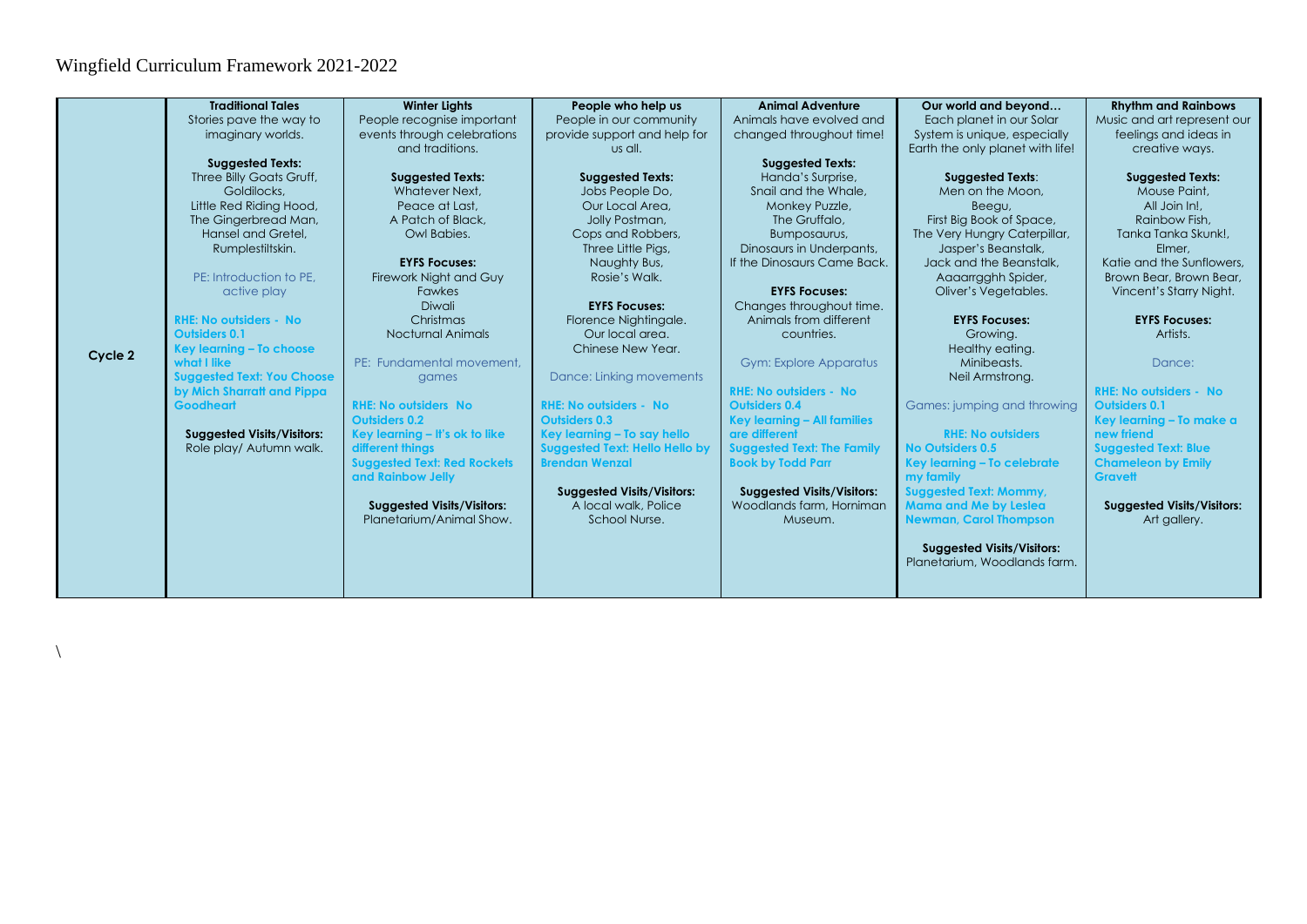$\backslash$ 

|         | <b>Traditional Tales</b>          | <b>Winter Lights</b>               | People who help us                    | <b>Animal Adventure</b>            | Our world and beyond              | <b>Rhythm and Rainbows</b>        |
|---------|-----------------------------------|------------------------------------|---------------------------------------|------------------------------------|-----------------------------------|-----------------------------------|
|         | Stories pave the way to           | People recognise important         | People in our community               | Animals have evolved and           | Each planet in our Solar          | Music and art represent our       |
|         | imaginary worlds.                 | events through celebrations        | provide support and help for          | changed throughout time!           | System is unique, especially      | feelings and ideas in             |
|         |                                   | and traditions.                    | us all.                               |                                    | Earth the only planet with life!  | creative ways.                    |
|         | <b>Suggested Texts:</b>           |                                    |                                       | <b>Suggested Texts:</b>            |                                   |                                   |
|         | Three Billy Goats Gruff,          | <b>Suggested Texts:</b>            | <b>Suggested Texts:</b>               | Handa's Surprise,                  | <b>Suggested Texts:</b>           | <b>Suggested Texts:</b>           |
|         | Goldilocks.                       | Whatever Next.                     | Jobs People Do,                       | Snail and the Whale.               | Men on the Moon.                  | Mouse Paint,                      |
|         | Little Red Riding Hood,           | Peace at Last.                     | Our Local Area.                       | Monkey Puzzle,                     | Beegu,                            | All Join In!                      |
|         | The Gingerbread Man,              | A Patch of Black,                  | Jolly Postman,                        | The Gruffalo.                      | First Big Book of Space,          | Rainbow Fish.                     |
|         | Hansel and Gretel,                | Owl Babies.                        | Cops and Robbers,                     | Bumposaurus,                       | The Very Hungry Caterpillar,      | Tanka Tanka Skunk!.               |
|         | Rumplestiltskin.                  |                                    | Three Little Pigs,                    | Dinosaurs in Underpants,           | Jasper's Beanstalk,               | Elmer.                            |
|         |                                   | <b>EYFS Focuses:</b>               | Naughty Bus,                          | If the Dinosaurs Came Back.        | Jack and the Beanstalk,           | Katie and the Sunflowers.         |
|         | PE: Introduction to PE.           | Firework Night and Guy             | Rosie's Walk.                         |                                    | Aaaarrgghh Spider,                | Brown Bear, Brown Bear,           |
|         | active play                       | <b>Fawkes</b>                      |                                       | <b>EYFS Focuses:</b>               | Oliver's Vegetables.              | Vincent's Starry Night.           |
|         |                                   | Diwali                             | <b>EYFS Focuses:</b>                  | Changes throughout time.           |                                   |                                   |
|         | <b>RHE: No outsiders - No</b>     | Christmas                          | Florence Nightingale.                 | Animals from different             | <b>EYFS Focuses:</b>              | <b>EYFS Focuses:</b>              |
|         | <b>Outsiders 0.1</b>              | <b>Nocturnal Animals</b>           | Our local area.                       | countries.                         | Growing.                          | Artists.                          |
| Cycle 2 | Key learning - To choose          |                                    | Chinese New Year.                     |                                    | Healthy eating.                   |                                   |
|         | what I like                       | PE: Fundamental movement.          |                                       | <b>Gym: Explore Apparatus</b>      | Minibeasts.                       | Dance:                            |
|         | <b>Suggested Text: You Choose</b> | games                              | Dance: Linking movements              |                                    | Neil Armstrong.                   |                                   |
|         | by Mich Sharratt and Pippa        |                                    |                                       | <b>RHE: No outsiders - No</b>      |                                   | <b>RHE: No outsiders - No</b>     |
|         | <b>Goodheart</b>                  | <b>RHE: No outsiders No</b>        | <b>RHE: No outsiders - No</b>         | <b>Outsiders 0.4</b>               | Games: jumping and throwing       | <b>Outsiders 0.1</b>              |
|         |                                   | <b>Outsiders 0.2</b>               | <b>Outsiders 0.3</b>                  | <b>Key learning - All families</b> |                                   | Key learning - To make a          |
|         | <b>Suggested Visits/Visitors:</b> | Key learning - It's ok to like     | Key learning - To say hello           | are different                      | <b>RHE: No outsiders</b>          | new friend                        |
|         | Role play/ Autumn walk.           | different things                   | <b>Suggested Text: Hello Hello by</b> | <b>Suggested Text: The Family</b>  | No Outsiders 0.5                  | <b>Suggested Text: Blue</b>       |
|         |                                   | <b>Suggested Text: Red Rockets</b> | <b>Brendan Wenzal</b>                 | <b>Book by Todd Parr</b>           | Key learning - To celebrate       | <b>Chameleon by Emily</b>         |
|         |                                   | and Rainbow Jelly                  |                                       |                                    | my family                         | <b>Gravett</b>                    |
|         |                                   |                                    | <b>Suggested Visits/Visitors:</b>     | <b>Suggested Visits/Visitors:</b>  | <b>Suggested Text: Mommy,</b>     |                                   |
|         |                                   | <b>Suggested Visits/Visitors:</b>  | A local walk, Police                  | Woodlands farm, Horniman           | <b>Mama and Me by Leslea</b>      | <b>Suggested Visits/Visitors:</b> |
|         |                                   | Planetarium/Animal Show.           | School Nurse.                         | Museum.                            | <b>Newman, Carol Thompson</b>     | Art gallery.                      |
|         |                                   |                                    |                                       |                                    |                                   |                                   |
|         |                                   |                                    |                                       |                                    | <b>Suggested Visits/Visitors:</b> |                                   |
|         |                                   |                                    |                                       |                                    | Planetarium, Woodlands farm.      |                                   |
|         |                                   |                                    |                                       |                                    |                                   |                                   |
|         |                                   |                                    |                                       |                                    |                                   |                                   |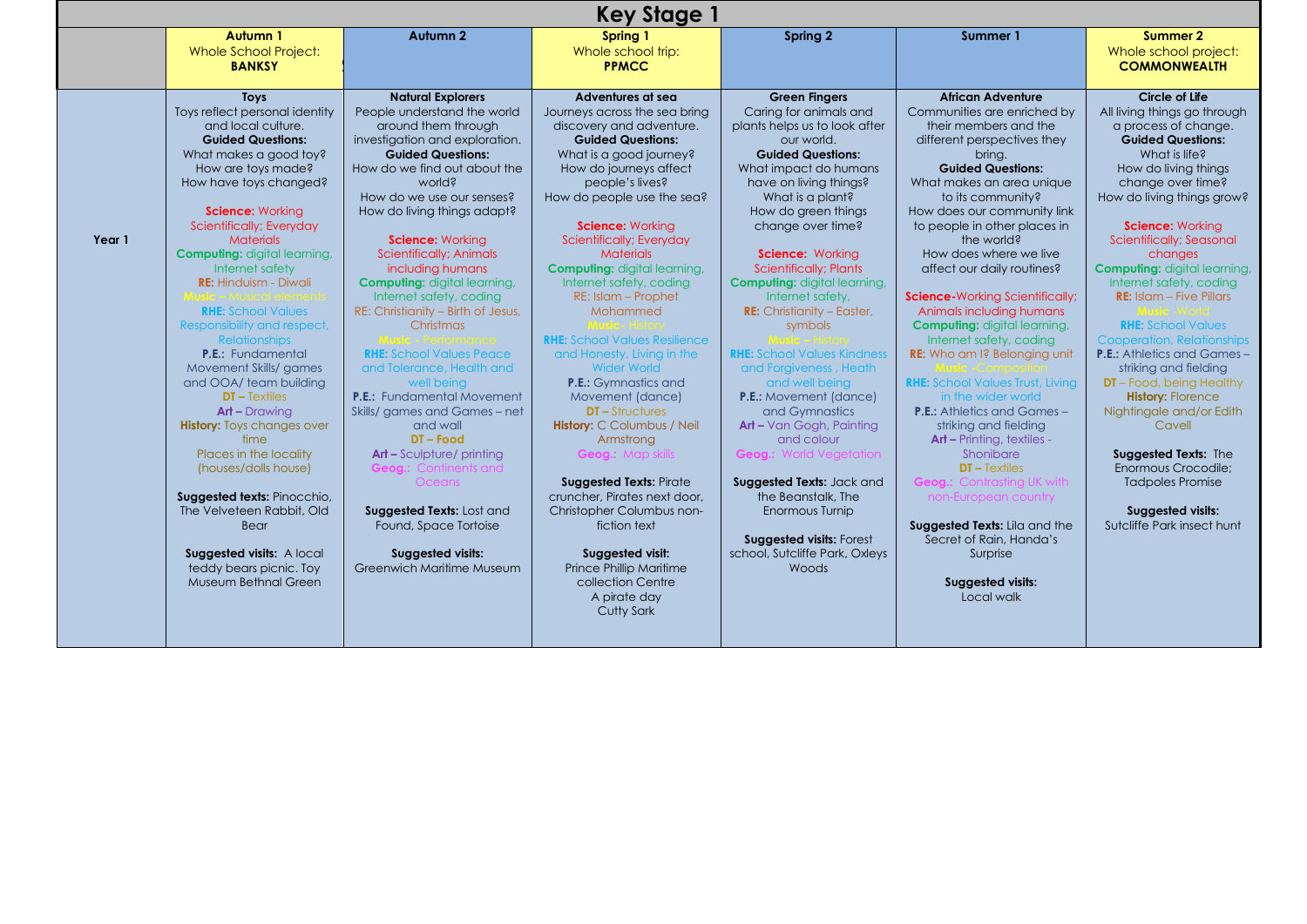|        |                                                                                                                                                                                                                                                                                                                                                                                                                                                                                                                                                                                                                                                                                                                                                                                                             |                                                                                                                                                                                                                                                                                                                                                                                                                                                                                                                                                                                                                                                                                                                                                                                                                                             | <b>Key Stage 1</b>                                                                                                                                                                                                                                                                                                                                                                                                                                                                                                                                                                                                                                                                                                                                                                                                                         |                                                                                                                                                                                                                                                                                                                                                                                                                                                                                                                                                                                                                                                                                                                                                                           |                                                                                                                                                                                                                                                                                                                                                                                                                                                                                                                                                                                                                                                                                                                                                                                                                                                                                                   |                                                                                                                                                                                                                                                                                                                                                                                                                                                                                                                                                                                                                                                                                                                                     |
|--------|-------------------------------------------------------------------------------------------------------------------------------------------------------------------------------------------------------------------------------------------------------------------------------------------------------------------------------------------------------------------------------------------------------------------------------------------------------------------------------------------------------------------------------------------------------------------------------------------------------------------------------------------------------------------------------------------------------------------------------------------------------------------------------------------------------------|---------------------------------------------------------------------------------------------------------------------------------------------------------------------------------------------------------------------------------------------------------------------------------------------------------------------------------------------------------------------------------------------------------------------------------------------------------------------------------------------------------------------------------------------------------------------------------------------------------------------------------------------------------------------------------------------------------------------------------------------------------------------------------------------------------------------------------------------|--------------------------------------------------------------------------------------------------------------------------------------------------------------------------------------------------------------------------------------------------------------------------------------------------------------------------------------------------------------------------------------------------------------------------------------------------------------------------------------------------------------------------------------------------------------------------------------------------------------------------------------------------------------------------------------------------------------------------------------------------------------------------------------------------------------------------------------------|---------------------------------------------------------------------------------------------------------------------------------------------------------------------------------------------------------------------------------------------------------------------------------------------------------------------------------------------------------------------------------------------------------------------------------------------------------------------------------------------------------------------------------------------------------------------------------------------------------------------------------------------------------------------------------------------------------------------------------------------------------------------------|---------------------------------------------------------------------------------------------------------------------------------------------------------------------------------------------------------------------------------------------------------------------------------------------------------------------------------------------------------------------------------------------------------------------------------------------------------------------------------------------------------------------------------------------------------------------------------------------------------------------------------------------------------------------------------------------------------------------------------------------------------------------------------------------------------------------------------------------------------------------------------------------------|-------------------------------------------------------------------------------------------------------------------------------------------------------------------------------------------------------------------------------------------------------------------------------------------------------------------------------------------------------------------------------------------------------------------------------------------------------------------------------------------------------------------------------------------------------------------------------------------------------------------------------------------------------------------------------------------------------------------------------------|
|        | Autumn 1<br><b>Whole School Project:</b><br><b>BANKSY</b>                                                                                                                                                                                                                                                                                                                                                                                                                                                                                                                                                                                                                                                                                                                                                   | <b>Autumn 2</b>                                                                                                                                                                                                                                                                                                                                                                                                                                                                                                                                                                                                                                                                                                                                                                                                                             | Spring 1<br>Whole school trip:<br><b>PPMCC</b>                                                                                                                                                                                                                                                                                                                                                                                                                                                                                                                                                                                                                                                                                                                                                                                             | Spring 2                                                                                                                                                                                                                                                                                                                                                                                                                                                                                                                                                                                                                                                                                                                                                                  | Summer 1                                                                                                                                                                                                                                                                                                                                                                                                                                                                                                                                                                                                                                                                                                                                                                                                                                                                                          | Summer 2<br>Whole school project:<br><b>COMMONWEALTH</b>                                                                                                                                                                                                                                                                                                                                                                                                                                                                                                                                                                                                                                                                            |
| Year 1 | <b>Toys</b><br>Toys reflect personal identity<br>and local culture.<br><b>Guided Questions:</b><br>What makes a good toy?<br>How are toys made?<br>How have toys changed?<br>Science: Working<br>Scientifically; Everyday<br><b>Materials</b><br><b>Computing: digital learning,</b><br>Internet safety<br><b>RE:</b> Hinduism - Diwali<br><b>RHE:</b> School Values<br>Responsibility and respect,<br><b>Relationships</b><br><b>P.E.:</b> Fundamental<br>Movement Skills/ games<br>and OOA/ team building<br>$DT - Textiles$<br>$Art - Drawing$<br><b>History:</b> Toys changes over<br>time<br>Places in the locality<br>(houses/dolls house)<br>Suggested texts: Pinocchio,<br>The Velveteen Rabbit, Old<br><b>Bear</b><br>Suggested visits: A local<br>teddy bears picnic. Toy<br>Museum Bethnal Green | <b>Natural Explorers</b><br>People understand the world<br>around them through<br>investigation and exploration.<br><b>Guided Questions:</b><br>How do we find out about the<br>world?<br>How do we use our senses?<br>How do living things adapt?<br>Science: Working<br><b>Scientifically; Animals</b><br>including humans<br><b>Computing: digital learning,</b><br>Internet safety, coding<br>RE: Christianity - Birth of Jesus,<br>Christmas<br>l <b>usic -</b> Performancel<br><b>RHE:</b> School Values Peace<br>and Tolerance, Health and<br>well being<br><b>P.E.:</b> Fundamental Movement<br>Skills/ games and Games - net<br>and wall<br>DT-Food<br><b>Art - Sculpture/ printing</b><br>:ontinents and<br>Oceans<br>Suggested Texts: Lost and<br>Found, Space Tortoise<br><b>Suggested visits:</b><br>Greenwich Maritime Museum | Adventures at sea<br>Journeys across the sea bring<br>discovery and adventure.<br><b>Guided Questions:</b><br>What is a good journey?<br>How do journeys affect<br>people's lives?<br>How do people use the sea?<br>Science: Working<br>Scientifically; Everyday<br><b>Materials</b><br><b>Computing: digital learning,</b><br>Internet safety, coding<br>RE: Islam - Prophet<br>Mohammed<br><b>RHE:</b> School Values Resilience<br>and Honesty, Living in the<br><b>Wider World</b><br><b>P.E.:</b> Gymnastics and<br>Movement (dance)<br><b>DT-Structures</b><br><b>History: C Columbus / Neil</b><br>Armstrong<br><b>Suggested Texts: Pirate</b><br>cruncher, Pirates next door,<br>Christopher Columbus non-<br>fiction text<br>Suggested visit:<br>Prince Phillip Maritime<br>collection Centre<br>A pirate day<br><b>Cutty Sark</b> | <b>Green Fingers</b><br>Caring for animals and<br>plants helps us to look after<br>our world.<br><b>Guided Questions:</b><br>What impact do humans<br>have on living things?<br>What is a plant?<br>How do green things<br>change over time?<br>Science: Working<br><b>Scientifically; Plants</b><br><b>Computing: digital learning,</b><br>Internet safety,<br><b>RE:</b> Christianity - Easter,<br>symbols<br><b>RHE:</b> School Values Kindness<br>and Forgiveness, Heath<br>and well being<br><b>P.E.:</b> Movement (dance)<br>and Gymnastics<br>Art - Van Gogh, Painting<br>and colour<br>eoa.: World Veaetation<br>Suggested Texts: Jack and<br>the Beanstalk, The<br>Enormous Turnip<br><b>Suggested visits: Forest</b><br>school, Sutcliffe Park, Oxleys<br>Woods | <b>African Adventure</b><br>Communities are enriched by<br>their members and the<br>different perspectives they<br>brina.<br><b>Guided Questions:</b><br>What makes an area unique<br>to its community?<br>How does our community link<br>to people in other places in<br>the world?<br>How does where we live<br>affect our daily routines?<br><b>Science-</b> Working Scientifically;<br>Animals including humans<br><b>Computing: digital learning,</b><br>Internet safety, coding<br><b>RE:</b> Who am I? Belonging unit<br><b>RHE:</b> School Values Trust, Living<br>in the wider world<br><b>P.E.:</b> Athletics and Games-<br>striking and fielding<br><b>Art - Printing, textiles -</b><br>Shonibare<br>$DT - Textiles$<br>Contrasting UK with<br>non-European country<br>Suggested Texts: Lila and the<br>Secret of Rain, Handa's<br>Surprise<br><b>Suggested visits:</b><br>Local walk | Circle of Life<br>All living things go through<br>a process of change.<br><b>Guided Questions:</b><br>What is life?<br>How do living things<br>change over time?<br>How do living things grow?<br>Science: Working<br>Scientifically; Seasonal<br>changes<br><b>Computing: digital learning,</b><br>Internet safety, coding<br><b>RE:</b> Islam $-$ Five Pillars<br><b>RHE:</b> School Values<br>Cooperation, Relationships<br><b>P.E.:</b> Athletics and Games -<br>striking and fielding<br><b>DT</b> - Food, being Healthy<br><b>History: Florence</b><br>Nightingale and/or Edith<br>Cavell<br>Suggested Texts: The<br>Enormous Crocodile:<br><b>Tadpoles Promise</b><br><b>Suggested visits:</b><br>Sutcliffe Park insect hunt |
|        |                                                                                                                                                                                                                                                                                                                                                                                                                                                                                                                                                                                                                                                                                                                                                                                                             |                                                                                                                                                                                                                                                                                                                                                                                                                                                                                                                                                                                                                                                                                                                                                                                                                                             |                                                                                                                                                                                                                                                                                                                                                                                                                                                                                                                                                                                                                                                                                                                                                                                                                                            |                                                                                                                                                                                                                                                                                                                                                                                                                                                                                                                                                                                                                                                                                                                                                                           |                                                                                                                                                                                                                                                                                                                                                                                                                                                                                                                                                                                                                                                                                                                                                                                                                                                                                                   |                                                                                                                                                                                                                                                                                                                                                                                                                                                                                                                                                                                                                                                                                                                                     |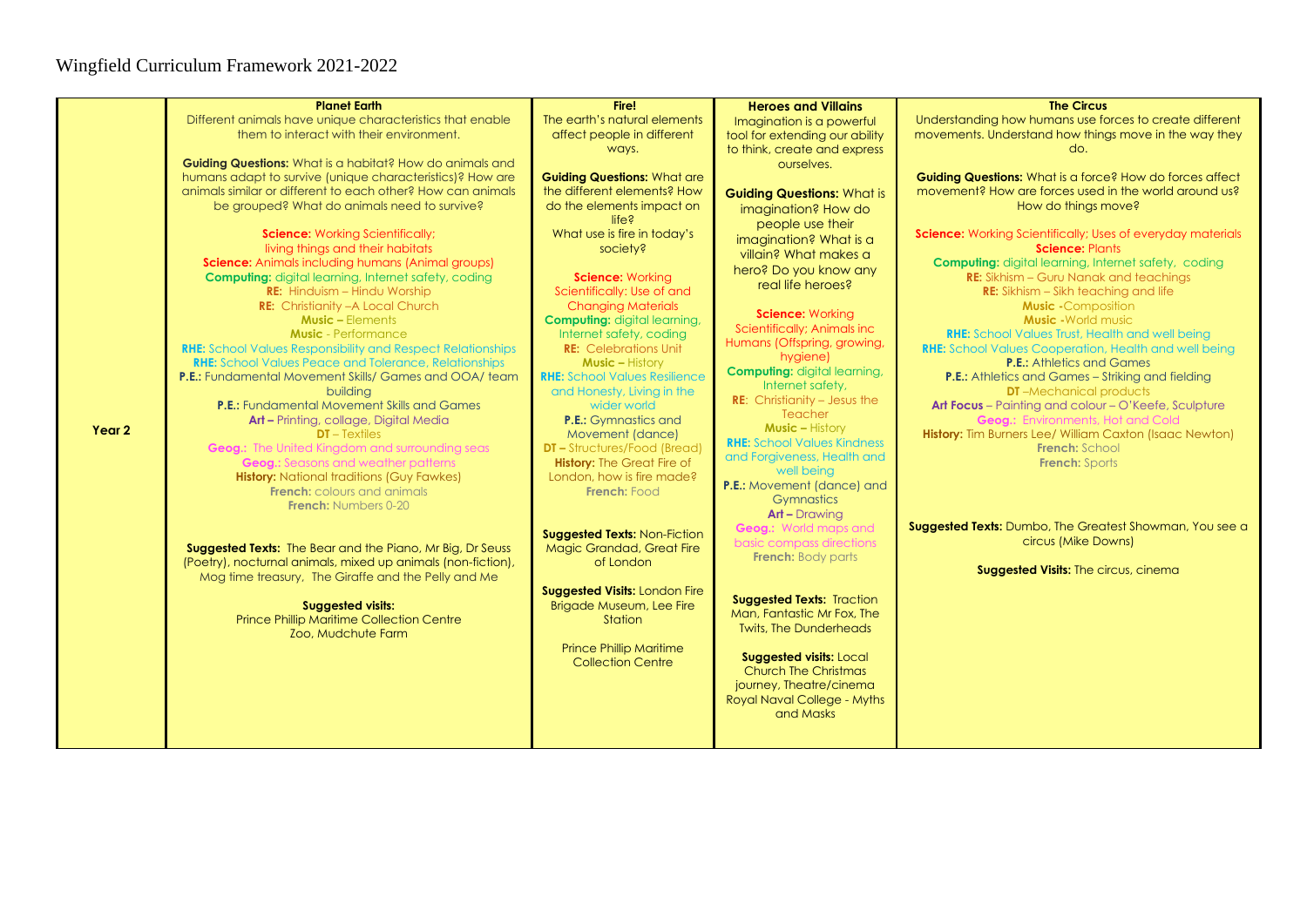|        | <b>Planet Earth</b>                                                                                                           | Fire!                                                          | <b>Heroes and Villains</b>          | <b>The Circus</b>                                                                                |
|--------|-------------------------------------------------------------------------------------------------------------------------------|----------------------------------------------------------------|-------------------------------------|--------------------------------------------------------------------------------------------------|
|        | Different animals have unique characteristics that enable                                                                     | The earth's natural elements                                   | Imagination is a powerful           | Understanding how humans use forces to create different                                          |
|        | them to interact with their environment.                                                                                      | affect people in different                                     | tool for extending our ability      | movements. Understand how things move in the way they                                            |
|        |                                                                                                                               | ways.                                                          | to think, create and express        | do.                                                                                              |
|        | Guiding Questions: What is a habitat? How do animals and                                                                      |                                                                | ourselves.                          |                                                                                                  |
|        | humans adapt to survive (unique characteristics)? How are                                                                     | <b>Guiding Questions: What are</b>                             |                                     | Guiding Questions: What is a force? How do forces affect                                         |
|        | animals similar or different to each other? How can animals                                                                   | the different elements? How                                    | <b>Guiding Questions: What is</b>   | movement? How are forces used in the world around us?                                            |
|        | be grouped? What do animals need to survive?                                                                                  | do the elements impact on                                      | imagination? How do                 | How do things move?                                                                              |
|        |                                                                                                                               | life <sub>5</sub>                                              | people use their                    |                                                                                                  |
|        | <b>Science:</b> Working Scientifically;                                                                                       | What use is fire in today's                                    | imagination? What is a              | Science: Working Scientifically; Uses of everyday materials                                      |
|        | living things and their habitats                                                                                              | society?                                                       | villain? What makes a               | <b>Science: Plants</b>                                                                           |
|        | <b>Science:</b> Animals including humans (Animal groups)                                                                      |                                                                | hero? Do you know any               | <b>Computing:</b> digital learning, Internet safety, coding                                      |
|        | <b>Computing:</b> digital learning, Internet safety, coding                                                                   | Science: Working                                               | real life heroes?                   | <b>RE:</b> Sikhism - Guru Nanak and teachings                                                    |
|        | <b>RE:</b> Hinduism - Hindu Worship                                                                                           | Scientifically: Use of and                                     |                                     | <b>RE:</b> Sikhism – Sikh teaching and life                                                      |
|        | <b>RE:</b> Christianity - A Local Church                                                                                      | <b>Changing Materials</b>                                      | Science: Working                    | <b>Music -Composition</b>                                                                        |
|        | <b>Music - Elements</b>                                                                                                       | <b>Computing: digital learning,</b>                            | Scientifically; Animals inc         | <b>Music - World music</b>                                                                       |
|        | <b>Music</b> - Performance                                                                                                    | Internet safety, coding                                        | Humans (Offspring, growing,         | <b>RHE:</b> School Values Trust, Health and well being                                           |
|        | <b>RHE:</b> School Values Responsibility and Respect Relationships                                                            | <b>RE:</b> Celebrations Unit                                   | hygiene)                            | <b>RHE:</b> School Values Cooperation, Health and well being<br><b>P.E.:</b> Athletics and Games |
|        | <b>RHE:</b> School Values Peace and Tolerance, Relationships<br><b>P.E.:</b> Fundamental Movement Skills/ Games and OOA/ team | <b>Music - History</b><br><b>RHE:</b> School Values Resilience | <b>Computing: digital learning,</b> |                                                                                                  |
|        | building                                                                                                                      | and Honesty, Living in the                                     | Internet safety,                    | <b>P.E.:</b> Athletics and Games - Striking and fielding<br><b>DT</b> -Mechanical products       |
|        | <b>P.E.:</b> Fundamental Movement Skills and Games                                                                            | wider world                                                    | <b>RE:</b> Christianity - Jesus the | Art Focus - Painting and colour - O'Keefe, Sculpture                                             |
|        | Art - Printing, collage, Digital Media                                                                                        | <b>P.E.:</b> Gymnastics and                                    | Teacher                             | <b>Geog.:</b> Environments, Hot and Cold                                                         |
| Year 2 | $DT - Textiles$                                                                                                               | Movement (dance)                                               | <b>Music - History</b>              | History: Tim Burners Lee/ William Caxton (Isaac Newton)                                          |
|        | <b>Geog.:</b> The United Kingdom and surrounding seas                                                                         | <b>DT-Structures/Food (Bread)</b>                              | <b>RHE:</b> School Values Kindness  | French: School                                                                                   |
|        | <b>Geog.:</b> Seasons and weather patterns                                                                                    | <b>History: The Great Fire of</b>                              | and Forgiveness, Health and         | <b>French: Sports</b>                                                                            |
|        | <b>History:</b> National traditions (Guy Fawkes)                                                                              | London, how is fire made?                                      | well being                          |                                                                                                  |
|        | <b>French:</b> colours and animals                                                                                            | French: Food                                                   | <b>P.E.:</b> Movement (dance) and   |                                                                                                  |
|        | <b>French:</b> Numbers 0-20                                                                                                   |                                                                | Gymnastics                          |                                                                                                  |
|        |                                                                                                                               |                                                                | <b>Art - Drawing</b>                |                                                                                                  |
|        |                                                                                                                               | <b>Suggested Texts: Non-Fiction</b>                            | <b>Geog.:</b> World maps and        | <b>Suggested Texts:</b> Dumbo, The Greatest Showman, You see a                                   |
|        | Suggested Texts: The Bear and the Piano, Mr Big, Dr Seuss                                                                     | <b>Magic Grandad, Great Fire</b>                               | basic compass directions            | circus (Mike Downs)                                                                              |
|        | (Poetry), nocturnal animals, mixed up animals (non-fiction),                                                                  | of London                                                      | <b>French:</b> Body parts           | Suggested Visits: The circus, cinema                                                             |
|        | Mog time treasury, The Giraffe and the Pelly and Me                                                                           |                                                                |                                     |                                                                                                  |
|        |                                                                                                                               | <b>Suggested Visits: London Fire</b>                           | <b>Suggested Texts: Traction</b>    |                                                                                                  |
|        | <b>Suggested visits:</b>                                                                                                      | <b>Brigade Museum, Lee Fire</b>                                | Man, Fantastic Mr Fox, The          |                                                                                                  |
|        | <b>Prince Phillip Maritime Collection Centre</b>                                                                              | Station                                                        | <b>Twits, The Dunderheads</b>       |                                                                                                  |
|        | Zoo, Mudchute Farm                                                                                                            |                                                                |                                     |                                                                                                  |
|        |                                                                                                                               | <b>Prince Phillip Maritime</b>                                 | <b>Suggested visits: Local</b>      |                                                                                                  |
|        |                                                                                                                               | <b>Collection Centre</b>                                       | <b>Church The Christmas</b>         |                                                                                                  |
|        |                                                                                                                               |                                                                | journey, Theatre/cinema             |                                                                                                  |
|        |                                                                                                                               |                                                                | Royal Naval College - Myths         |                                                                                                  |
|        |                                                                                                                               |                                                                | and Masks                           |                                                                                                  |
|        |                                                                                                                               |                                                                |                                     |                                                                                                  |
|        |                                                                                                                               |                                                                |                                     |                                                                                                  |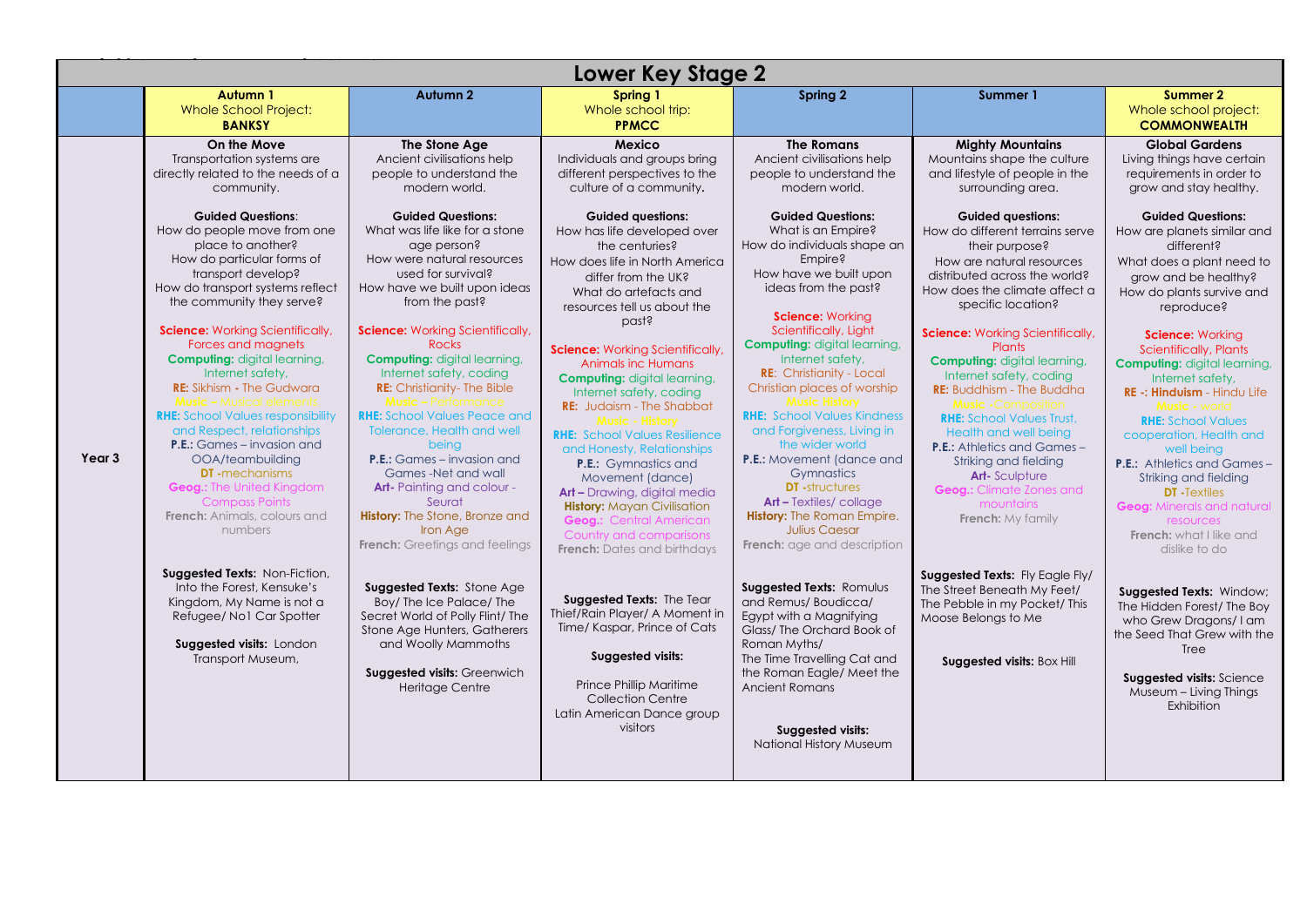|                   |                                                                                                                                                                                                                                                                                                                                                                                                                                                                                                                                                                                                                                                                                                                                                                                                                                                                                                                                                           |                                                                                                                                                                                                                                                                                                                                                                                                                                                                                                                                                                                                                                                                                                                                                                                                                                                                                                                                                                                         | <b>Lower Key Stage 2</b>                                                                                                                                                                                                                                                                                                                                                                                                                                                                                                                                                                                                                                                                                                                                                                                                                                                                                                                                                                                                                        |                                                                                                                                                                                                                                                                                                                                                                                                                                                                                                                                                                                                                                                                                                                                                                                                                                                                                                                                                                                                                    |                                                                                                                                                                                                                                                                                                                                                                                                                                                                                                                                                                                                                                                                                                                                                                                                                                                                                                            |                                                                                                                                                                                                                                                                                                                                                                                                                                                                                                                                                                                                                                                                                                                                                                                                                                                                                                                                         |
|-------------------|-----------------------------------------------------------------------------------------------------------------------------------------------------------------------------------------------------------------------------------------------------------------------------------------------------------------------------------------------------------------------------------------------------------------------------------------------------------------------------------------------------------------------------------------------------------------------------------------------------------------------------------------------------------------------------------------------------------------------------------------------------------------------------------------------------------------------------------------------------------------------------------------------------------------------------------------------------------|-----------------------------------------------------------------------------------------------------------------------------------------------------------------------------------------------------------------------------------------------------------------------------------------------------------------------------------------------------------------------------------------------------------------------------------------------------------------------------------------------------------------------------------------------------------------------------------------------------------------------------------------------------------------------------------------------------------------------------------------------------------------------------------------------------------------------------------------------------------------------------------------------------------------------------------------------------------------------------------------|-------------------------------------------------------------------------------------------------------------------------------------------------------------------------------------------------------------------------------------------------------------------------------------------------------------------------------------------------------------------------------------------------------------------------------------------------------------------------------------------------------------------------------------------------------------------------------------------------------------------------------------------------------------------------------------------------------------------------------------------------------------------------------------------------------------------------------------------------------------------------------------------------------------------------------------------------------------------------------------------------------------------------------------------------|--------------------------------------------------------------------------------------------------------------------------------------------------------------------------------------------------------------------------------------------------------------------------------------------------------------------------------------------------------------------------------------------------------------------------------------------------------------------------------------------------------------------------------------------------------------------------------------------------------------------------------------------------------------------------------------------------------------------------------------------------------------------------------------------------------------------------------------------------------------------------------------------------------------------------------------------------------------------------------------------------------------------|------------------------------------------------------------------------------------------------------------------------------------------------------------------------------------------------------------------------------------------------------------------------------------------------------------------------------------------------------------------------------------------------------------------------------------------------------------------------------------------------------------------------------------------------------------------------------------------------------------------------------------------------------------------------------------------------------------------------------------------------------------------------------------------------------------------------------------------------------------------------------------------------------------|-----------------------------------------------------------------------------------------------------------------------------------------------------------------------------------------------------------------------------------------------------------------------------------------------------------------------------------------------------------------------------------------------------------------------------------------------------------------------------------------------------------------------------------------------------------------------------------------------------------------------------------------------------------------------------------------------------------------------------------------------------------------------------------------------------------------------------------------------------------------------------------------------------------------------------------------|
|                   | Autumn 1<br><b>Whole School Project:</b><br><b>BANKSY</b>                                                                                                                                                                                                                                                                                                                                                                                                                                                                                                                                                                                                                                                                                                                                                                                                                                                                                                 | Autumn 2                                                                                                                                                                                                                                                                                                                                                                                                                                                                                                                                                                                                                                                                                                                                                                                                                                                                                                                                                                                | Spring 1<br>Whole school trip:<br><b>PPMCC</b>                                                                                                                                                                                                                                                                                                                                                                                                                                                                                                                                                                                                                                                                                                                                                                                                                                                                                                                                                                                                  | Spring 2                                                                                                                                                                                                                                                                                                                                                                                                                                                                                                                                                                                                                                                                                                                                                                                                                                                                                                                                                                                                           | Summer 1                                                                                                                                                                                                                                                                                                                                                                                                                                                                                                                                                                                                                                                                                                                                                                                                                                                                                                   | Summer 2<br>Whole school project:<br><b>COMMONWEALTH</b>                                                                                                                                                                                                                                                                                                                                                                                                                                                                                                                                                                                                                                                                                                                                                                                                                                                                                |
| Year <sub>3</sub> | On the Move<br>Transportation systems are<br>directly related to the needs of a<br>community.<br><b>Guided Questions:</b><br>How do people move from one<br>place to another?<br>How do particular forms of<br>transport develop?<br>How do transport systems reflect<br>the community they serve?<br><b>Science:</b> Working Scientifically,<br>Forces and magnets<br><b>Computing:</b> digital learning,<br>Internet safety,<br><b>RE:</b> Sikhism - The Gudwara<br><b>Music -</b> Musical elements<br><b>RHE:</b> School Values responsibility<br>and Respect, relationships<br><b>P.E.:</b> Games – invasion and<br>OOA/teambuilding<br><b>DT</b> -mechanisms<br><b>Geog.:</b> The United Kingdom<br><b>Compass Points</b><br><b>French:</b> Animals, colours and<br>numbers<br>Suggested Texts: Non-Fiction,<br>Into the Forest, Kensuke's<br>Kingdom, My Name is not a<br>Refugee/ No1 Car Spotter<br>Suggested visits: London<br>Transport Museum, | The Stone Age<br>Ancient civilisations help<br>people to understand the<br>modern world.<br><b>Guided Questions:</b><br>What was life like for a stone<br>age person?<br>How were natural resources<br>used for survival?<br>How have we built upon ideas<br>from the past?<br><b>Science:</b> Working Scientifically,<br><b>Rocks</b><br><b>Computing: digital learning,</b><br>Internet safety, coding<br><b>RE:</b> Christianity- The Bible<br><b>Music - Performance</b><br><b>RHE:</b> School Values Peace and<br><b>Tolerance, Health and well</b><br>being<br><b>P.E.:</b> Games – invasion and<br>Games-Net and wall<br><b>Art-</b> Painting and colour -<br>Seurat<br><b>History:</b> The Stone, Bronze and<br>Iron Age<br><b>French:</b> Greetings and feelings<br>Suggested Texts: Stone Age<br>Boy/ The Ice Palace/ The<br>Secret World of Polly Flint/ The<br>Stone Age Hunters, Gatherers<br>and Woolly Mammoths<br>Suggested visits: Greenwich<br><b>Heritage Centre</b> | Mexico<br>Individuals and groups bring<br>different perspectives to the<br>culture of a community.<br><b>Guided questions:</b><br>How has life developed over<br>the centuries?<br>How does life in North America<br>differ from the UK?<br>What do artefacts and<br>resources tell us about the<br>past?<br><b>Science:</b> Working Scientifically,<br><b>Animals inc Humans</b><br><b>Computing:</b> digital learning,<br>Internet safety, coding<br><b>RE:</b> Judaism - The Shabbat<br><b>Music - History</b><br><b>RHE:</b> School Values Resilience<br>and Honesty, Relationships<br><b>P.E.:</b> Gymnastics and<br>Movement (dance)<br><b>Art -</b> Drawing, digital media<br><b>History:</b> Mayan Civilisation<br><b>Geog.: Central American</b><br>Country and comparisons<br><b>French:</b> Dates and birthdays<br>Suggested Texts: The Tear<br>Thief/Rain Player/ A Moment in<br>Time/ Kaspar, Prince of Cats<br>Suggested visits:<br>Prince Phillip Maritime<br><b>Collection Centre</b><br>Latin American Dance group<br>visitors | <b>The Romans</b><br>Ancient civilisations help<br>people to understand the<br>modern world.<br><b>Guided Questions:</b><br>What is an Empire?<br>How do individuals shape an<br>Empire?<br>How have we built upon<br>ideas from the past?<br><b>Science: Working</b><br>Scientifically, Light<br><b>Computing: digital learning,</b><br>Internet safety,<br><b>RE:</b> Christianity - Local<br>Christian places of worship<br><b>Music History</b><br><b>RHE:</b> School Values Kindness<br>and Forgiveness, Living in<br>the wider world<br><b>P.E.:</b> Movement (dance and<br>Gymnastics<br><b>DT</b> -structures<br><b>Art - Textiles/collage</b><br><b>History:</b> The Roman Empire.<br><b>Julius Caesar</b><br><b>French:</b> age and description<br>Suggested Texts: Romulus<br>and Remus/Boudicca/<br>Egypt with a Magnifying<br>Glass/The Orchard Book of<br>Roman Myths/<br>The Time Travelling Cat and<br>the Roman Eagle/ Meet the<br>Ancient Romans<br>Suggested visits:<br>National History Museum | <b>Mighty Mountains</b><br>Mountains shape the culture<br>and lifestyle of people in the<br>surrounding area.<br><b>Guided questions:</b><br>How do different terrains serve<br>their purpose?<br>How are natural resources<br>distributed across the world?<br>How does the climate affect a<br>specific location?<br><b>Science:</b> Working Scientifically,<br><b>Plants</b><br><b>Computing: digital learning,</b><br>Internet safety, coding<br><b>RE:</b> Buddhism - The Buddha<br><b>Music -Composition</b><br><b>RHE:</b> School Values Trust,<br>Health and well being<br><b>P.E.:</b> Athletics and Games -<br>Striking and fielding<br><b>Art-Sculpture</b><br><b>Geog.:</b> Climate Zones and<br>mountains<br><b>French:</b> My family<br>Suggested Texts: Fly Eagle Fly/<br>The Street Beneath My Feet/<br>The Pebble in my Pocket/ This<br>Moose Belongs to Me<br>Suggested visits: Box Hill | <b>Global Gardens</b><br>Living things have certain<br>requirements in order to<br>grow and stay healthy.<br><b>Guided Questions:</b><br>How are planets similar and<br>different?<br>What does a plant need to<br>grow and be healthy?<br>How do plants survive and<br>reproduce?<br><b>Science: Working</b><br>Scientifically, Plants<br><b>Computing: digital learning,</b><br>Internet safety,<br><b>RE -: Hinduism - Hindu Life</b><br><b>Music - world</b><br><b>RHE:</b> School Values<br>cooperation, Health and<br>well being<br><b>P.E.:</b> Athletics and Games-<br>Striking and fielding<br><b>DT</b> - Textiles<br><b>Geog:</b> Minerals and natural<br>resources<br>French: what I like and<br>dislike to do<br>Suggested Texts: Window;<br>The Hidden Forest/ The Boy<br>who Grew Dragons/I am<br>the Seed That Grew with the<br><b>Tree</b><br><b>Suggested visits: Science</b><br>Museum - Living Things<br>Exhibition |
|                   |                                                                                                                                                                                                                                                                                                                                                                                                                                                                                                                                                                                                                                                                                                                                                                                                                                                                                                                                                           |                                                                                                                                                                                                                                                                                                                                                                                                                                                                                                                                                                                                                                                                                                                                                                                                                                                                                                                                                                                         |                                                                                                                                                                                                                                                                                                                                                                                                                                                                                                                                                                                                                                                                                                                                                                                                                                                                                                                                                                                                                                                 |                                                                                                                                                                                                                                                                                                                                                                                                                                                                                                                                                                                                                                                                                                                                                                                                                                                                                                                                                                                                                    |                                                                                                                                                                                                                                                                                                                                                                                                                                                                                                                                                                                                                                                                                                                                                                                                                                                                                                            |                                                                                                                                                                                                                                                                                                                                                                                                                                                                                                                                                                                                                                                                                                                                                                                                                                                                                                                                         |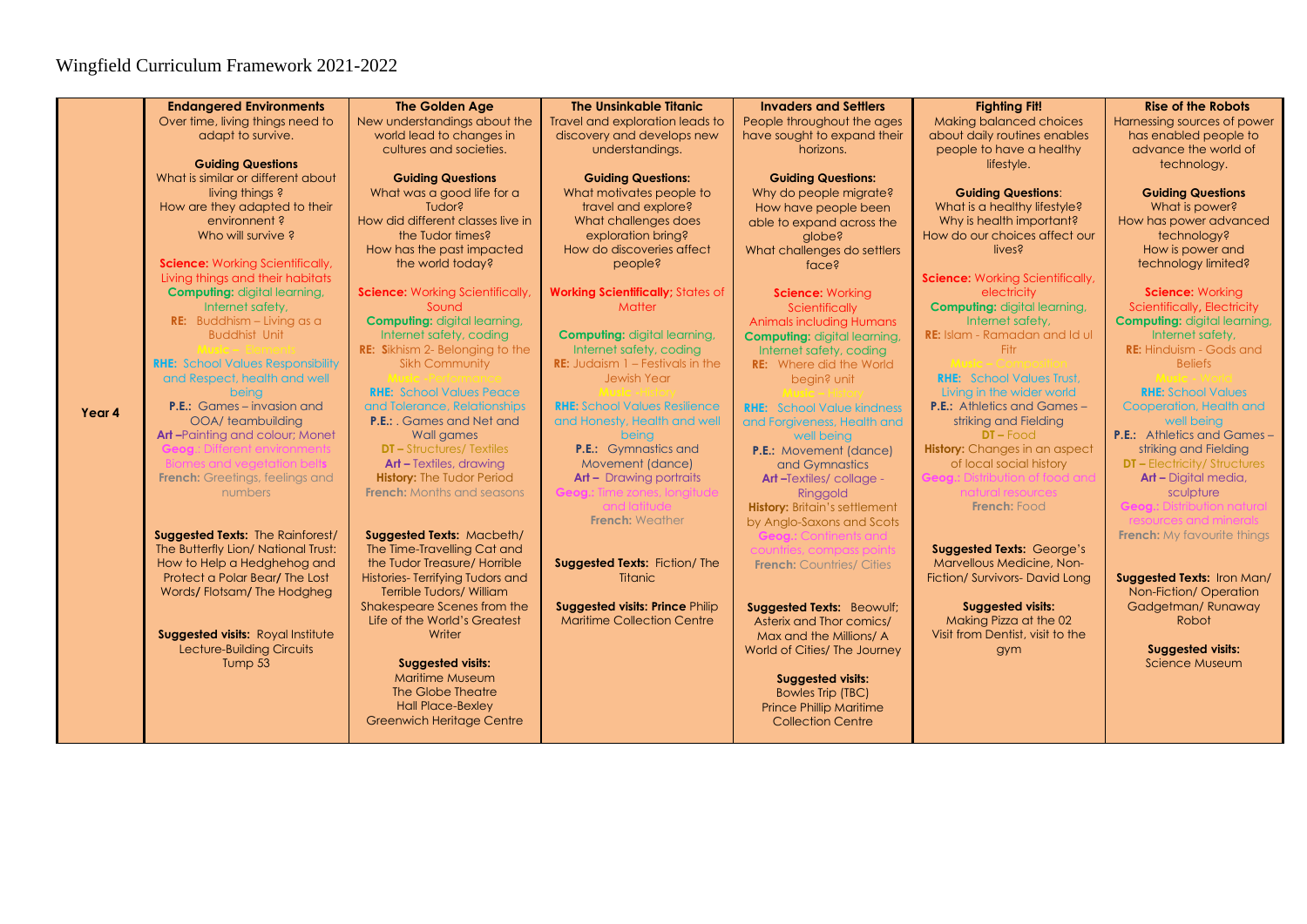|        | <b>Endangered Environments</b>                    | <b>The Golden Age</b>                                                 | <b>The Unsinkable Titanic</b>                       | <b>Invaders and Settlers</b>                              | <b>Fighting Fit!</b>                    | <b>Rise of the Robots</b>                       |
|--------|---------------------------------------------------|-----------------------------------------------------------------------|-----------------------------------------------------|-----------------------------------------------------------|-----------------------------------------|-------------------------------------------------|
|        | Over time, living things need to                  | New understandings about the                                          | Travel and exploration leads to                     | People throughout the ages                                | <b>Making balanced choices</b>          | Harnessing sources of power                     |
|        | adapt to survive.                                 | world lead to changes in                                              | discovery and develops new                          | have sought to expand their                               | about daily routines enables            | has enabled people to                           |
|        |                                                   | cultures and societies.                                               | understandings.                                     | horizons.                                                 | people to have a healthy                | advance the world of                            |
|        | <b>Guiding Questions</b>                          |                                                                       |                                                     |                                                           | lifestyle.                              | technology.                                     |
|        | What is similar or different about                | <b>Guiding Questions</b>                                              | <b>Guiding Questions:</b>                           | <b>Guiding Questions:</b>                                 |                                         |                                                 |
|        | living things ?                                   | What was a good life for a                                            | What motivates people to                            | Why do people migrate?                                    | <b>Guiding Questions:</b>               | <b>Guiding Questions</b>                        |
|        | How are they adapted to their                     | Tudor?                                                                | travel and explore?                                 | How have people been                                      | What is a healthy lifestyle?            | What is power?                                  |
|        | environnent?                                      | How did different classes live in                                     | What challenges does                                | able to expand across the                                 | Why is health important?                | How has power advanced                          |
|        | Who will survive?                                 | the Tudor times?                                                      | exploration bring?                                  | alobe?                                                    | How do our choices affect our           | technology?                                     |
|        |                                                   | How has the past impacted                                             | How do discoveries affect                           | What challenges do settlers                               | lives?                                  | How is power and                                |
|        | <b>Science:</b> Working Scientifically,           | the world today?                                                      | people?                                             | face?                                                     |                                         | technology limited?                             |
|        | Living things and their habitats                  |                                                                       |                                                     |                                                           | <b>Science:</b> Working Scientifically, |                                                 |
|        | <b>Computing: digital learning,</b>               | <b>Science:</b> Working Scientifically,                               | <b>Working Scientifically; States of</b>            | Science: Working                                          | electricity                             | <b>Science: Working</b>                         |
|        | Internet safety,                                  | Sound                                                                 | Matter                                              | Scientifically                                            | <b>Computing: digital learning,</b>     | Scientifically, Electricity                     |
|        | <b>RE:</b> Buddhism - Living as a                 | <b>Computing: digital learning,</b>                                   |                                                     | <b>Animals including Humans</b>                           | Internet safety,                        | <b>Computing: digital learning,</b>             |
|        | <b>Buddhist Unit</b>                              | Internet safety, coding                                               | <b>Computing: digital learning,</b>                 | <b>Computing: digital learning,</b>                       | <b>RE:</b> Islam - Ramadan and Id ul    | Internet safety.                                |
|        |                                                   | <b>RE:</b> Sikhism 2- Belonging to the                                | Internet safety, coding                             | Internet safety, coding                                   | Fitr                                    | <b>RE:</b> Hinduism - Gods and                  |
|        | <b>RHE:</b> School Values Responsibility          | <b>Sikh Community</b>                                                 | <b>RE:</b> Judaism $1 -$ Festivals in the           | <b>RE:</b> Where did the World                            |                                         | <b>Beliefs</b>                                  |
|        | and Respect, health and well                      |                                                                       | <b>Jewish Year</b>                                  | begin? unit                                               | <b>RHE:</b> School Values Trust.        |                                                 |
|        | being                                             | <b>RHE:</b> School Values Peace                                       |                                                     |                                                           | Living in the wider world               | <b>RHE:</b> School Values                       |
| Year 4 | <b>P.E.:</b> Games – invasion and                 | and Tolerance, Relationships                                          | <b>RHE:</b> School Values Resilience                | <b>RHE:</b> School Value kindness                         | <b>P.E.:</b> Athletics and Games -      | Cooperation, Health and                         |
|        | OOA/ teambuilding                                 | <b>P.E.:</b> Games and Net and                                        | and Honesty, Health and well                        | and Forgiveness, Health and                               | striking and Fielding                   | well being                                      |
|        | Art-Painting and colour; Monet                    | Wall games                                                            | being                                               | well being                                                | $DT$ – Food                             | <b>P.E.:</b> Athletics and Games -              |
|        | <b>Geoa.:</b> Different environments              | <b>DT - Structures/ Textiles</b>                                      | <b>P.E.:</b> Gymnastics and                         | <b>P.E.:</b> Movement (dance)                             | <b>History:</b> Changes in an aspect    | striking and Fielding                           |
|        | Biomes and veaetation belts                       | <b>Art - Textiles, drawing</b>                                        | Movement (dance)                                    | and Gymnastics                                            | of local social history                 | <b>DT-Electricity/Structures</b>                |
|        | <b>French:</b> Greetings, feelings and<br>numbers | <b>History: The Tudor Period</b><br><b>French:</b> Months and seasons | $Art - Drawing$ portraits                           | <b>Art-Textiles/collage -</b>                             | <b>Geoa.:</b> Distribution of food and  | Art - Digital media,                            |
|        |                                                   |                                                                       | <b>Geoa.:</b> Time zones. lonaitude<br>and latitude | Ringgold<br><b>History: Britain's settlement</b>          | natural resources<br>French: Food       | sculpture<br><b>Geog.: Distribution natural</b> |
|        |                                                   |                                                                       | <b>French:</b> Weather                              |                                                           |                                         | resources and minerals.                         |
|        | <b>Suggested Texts: The Rainforest/</b>           | Suggested Texts: Macbeth/                                             |                                                     | by Anglo-Saxons and Scots<br><b>Geog.:</b> Continents and |                                         | <b>French:</b> My favourite things              |
|        | The Butterfly Lion/ National Trust:               | The Time-Travelling Cat and                                           |                                                     | countries, compass point                                  | <b>Suggested Texts: George's</b>        |                                                 |
|        | How to Help a Hedghehog and                       | the Tudor Treasure/ Horrible                                          | Suggested Texts: Fiction/ The                       | <b>French: Countries/ Cities</b>                          | Marvellous Medicine, Non-               |                                                 |
|        | Protect a Polar Bear/The Lost                     | Histories-Terrifying Tudors and                                       | <b>Titanic</b>                                      |                                                           | Fiction/ Survivors- David Long          | Suggested Texts: Iron Man/                      |
|        | Words/Flotsam/The Hodgheg                         | <b>Terrible Tudors/ William</b>                                       |                                                     |                                                           |                                         | Non-Fiction/Operation                           |
|        |                                                   | Shakespeare Scenes from the                                           | <b>Suggested visits: Prince Philip</b>              | Suggested Texts: Beowulf;                                 | <b>Suggested visits:</b>                | Gadgetman/Runaway                               |
|        |                                                   | Life of the World's Greatest                                          | <b>Maritime Collection Centre</b>                   | Asterix and Thor comics/                                  | Making Pizza at the 02                  | Robot                                           |
|        | Suggested visits: Royal Institute                 | Writer                                                                |                                                     | Max and the Millions/ A                                   | Visit from Dentist, visit to the        |                                                 |
|        | Lecture-Building Circuits                         |                                                                       |                                                     | World of Cities/ The Journey                              | gym                                     | <b>Suggested visits:</b>                        |
|        | Tump 53                                           | <b>Suggested visits:</b>                                              |                                                     |                                                           |                                         | Science Museum                                  |
|        |                                                   | <b>Maritime Museum</b>                                                |                                                     | <b>Suggested visits:</b>                                  |                                         |                                                 |
|        |                                                   | The Globe Theatre                                                     |                                                     | <b>Bowles Trip (TBC)</b>                                  |                                         |                                                 |
|        |                                                   | <b>Hall Place-Bexley</b>                                              |                                                     | <b>Prince Phillip Maritime</b>                            |                                         |                                                 |
|        |                                                   | <b>Greenwich Heritage Centre</b>                                      |                                                     | <b>Collection Centre</b>                                  |                                         |                                                 |
|        |                                                   |                                                                       |                                                     |                                                           |                                         |                                                 |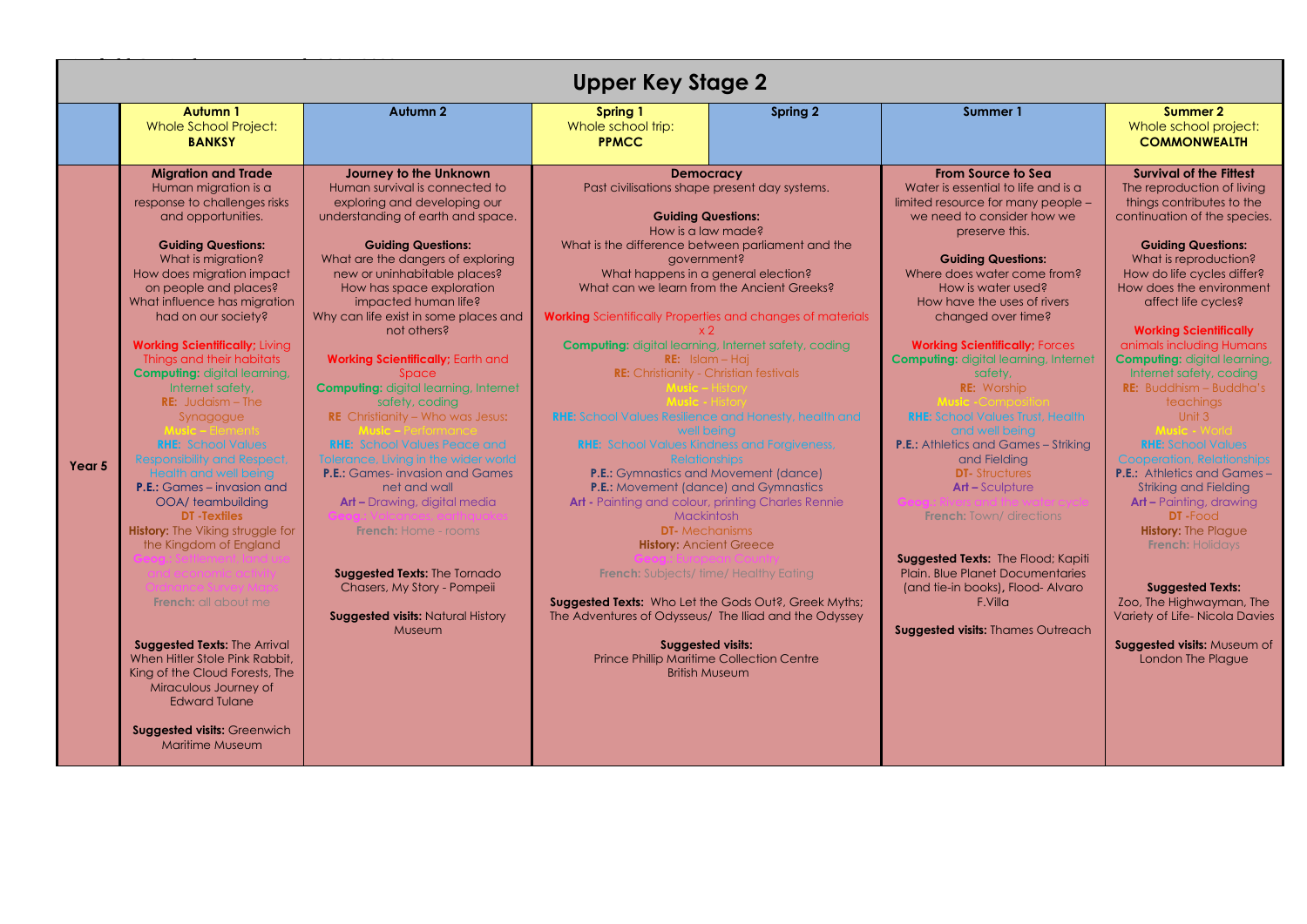|                                                                                                                                                                                                                                                                                                                                                                                                                                                                                                                                                                                                                                                                                                                                                                                                                                                                                                                                                                                    |                                                                                                                                                                                                                                                                                                                                                                                                                                                                                                                                                                                                                                                                                                                                                                                                                                            | <b>Upper Key Stage 2</b>                                                                                                                                                                                                                                                                                                                                                                                                                                                                                                                                                                                                                                                                                                                                                                                                                                                                                                                                                                                                                                                                                                                                                   |          |                                                                                                                                                                                                                                                                                                                                                                                                                                                                                                                                                                                                                                                                                                                                                                                                                                |                                                                                                                                                                                                                                                                                                                                                                                                                                                                                                                                                                                                                                                                                                                                                                                                                                                                    |
|------------------------------------------------------------------------------------------------------------------------------------------------------------------------------------------------------------------------------------------------------------------------------------------------------------------------------------------------------------------------------------------------------------------------------------------------------------------------------------------------------------------------------------------------------------------------------------------------------------------------------------------------------------------------------------------------------------------------------------------------------------------------------------------------------------------------------------------------------------------------------------------------------------------------------------------------------------------------------------|--------------------------------------------------------------------------------------------------------------------------------------------------------------------------------------------------------------------------------------------------------------------------------------------------------------------------------------------------------------------------------------------------------------------------------------------------------------------------------------------------------------------------------------------------------------------------------------------------------------------------------------------------------------------------------------------------------------------------------------------------------------------------------------------------------------------------------------------|----------------------------------------------------------------------------------------------------------------------------------------------------------------------------------------------------------------------------------------------------------------------------------------------------------------------------------------------------------------------------------------------------------------------------------------------------------------------------------------------------------------------------------------------------------------------------------------------------------------------------------------------------------------------------------------------------------------------------------------------------------------------------------------------------------------------------------------------------------------------------------------------------------------------------------------------------------------------------------------------------------------------------------------------------------------------------------------------------------------------------------------------------------------------------|----------|--------------------------------------------------------------------------------------------------------------------------------------------------------------------------------------------------------------------------------------------------------------------------------------------------------------------------------------------------------------------------------------------------------------------------------------------------------------------------------------------------------------------------------------------------------------------------------------------------------------------------------------------------------------------------------------------------------------------------------------------------------------------------------------------------------------------------------|--------------------------------------------------------------------------------------------------------------------------------------------------------------------------------------------------------------------------------------------------------------------------------------------------------------------------------------------------------------------------------------------------------------------------------------------------------------------------------------------------------------------------------------------------------------------------------------------------------------------------------------------------------------------------------------------------------------------------------------------------------------------------------------------------------------------------------------------------------------------|
| Autumn 1<br><b>Whole School Project:</b><br><b>BANKSY</b>                                                                                                                                                                                                                                                                                                                                                                                                                                                                                                                                                                                                                                                                                                                                                                                                                                                                                                                          | <b>Autumn 2</b>                                                                                                                                                                                                                                                                                                                                                                                                                                                                                                                                                                                                                                                                                                                                                                                                                            | Spring 1<br>Whole school trip:<br><b>PPMCC</b>                                                                                                                                                                                                                                                                                                                                                                                                                                                                                                                                                                                                                                                                                                                                                                                                                                                                                                                                                                                                                                                                                                                             | Spring 2 | Summer 1                                                                                                                                                                                                                                                                                                                                                                                                                                                                                                                                                                                                                                                                                                                                                                                                                       | Summer 2<br>Whole school project:<br><b>COMMONWEALTH</b>                                                                                                                                                                                                                                                                                                                                                                                                                                                                                                                                                                                                                                                                                                                                                                                                           |
| <b>Migration and Trade</b><br>Human migration is a<br>response to challenges risks<br>and opportunities.<br><b>Guiding Questions:</b><br>What is migration?<br>How does migration impact<br>on people and places?<br>What influence has migration<br>had on our society?<br><b>Working Scientifically; Living</b><br>Things and their habitats<br><b>Computing:</b> digital learning,<br>Internet safety,<br><b>RE:</b> Judaism $-$ The<br>Synagogue<br><b>RHE: School Values</b><br><b>Responsibility and Respect</b><br>Year 5<br><b>Health and well being</b><br><b>P.E.:</b> Games – invasion and<br>OOA/ teambuilding<br><b>DT</b> - Textiles<br><b>History:</b> The Viking struggle for<br>the Kingdom of England<br><b>French:</b> all about me<br><b>Suggested Texts: The Arrival</b><br>When Hitler Stole Pink Rabbit.<br>King of the Cloud Forests, The<br>Miraculous Journey of<br><b>Edward Tulane</b><br><b>Suggested visits: Greenwich</b><br><b>Maritime Museum</b> | Journey to the Unknown<br>Human survival is connected to<br>exploring and developing our<br>understanding of earth and space.<br><b>Guiding Questions:</b><br>What are the dangers of exploring<br>new or uninhabitable places?<br>How has space exploration<br>impacted human life?<br>Why can life exist in some places and<br>not others?<br>Working Scientifically; Earth and<br>Space<br><b>Computing:</b> digital learning, Internet<br>safety, coding<br><b>RE</b> Christianity - Who was Jesus:<br><b>RHE:</b> School Values Peace and<br>Tolerance, Living in the wider world<br><b>P.E.:</b> Games-invasion and Games<br>net and wall<br>Art - Drawing, digital media<br><b>French:</b> Home - rooms<br>Suggested Texts: The Tornado<br>Chasers, My Story - Pompeii<br><b>Suggested visits: Natural History</b><br><b>Museum</b> | <b>Democracy</b><br>Past civilisations shape present day systems.<br><b>Guiding Questions:</b><br>How is a law made?<br>What is the difference between parliament and the<br>government?<br>What happens in a general election?<br>What can we learn from the Ancient Greeks?<br><b>Working</b> Scientifically Properties and changes of materials<br><b>Computing:</b> digital learning, Internet safety, coding<br>$RE:$ Islam – Haj<br><b>RE:</b> Christianity - Christian festivals<br><b>RHE:</b> School Values Resilience and Honesty, health and<br>well being<br><b>RHE:</b> School Values Kindness and Forgiveness,<br><b>Relationships</b><br><b>P.E.:</b> Gymnastics and Movement (dance)<br><b>P.E.:</b> Movement (dance) and Gymnastics<br>Art - Painting and colour, printing Charles Rennie<br><b>Mackintosh</b><br><b>DT-</b> Mechanisms<br><b>History: Ancient Greece</b><br><b>French:</b> Subjects/time/Healthy Eating<br><b>Suggested Texts:</b> Who Let the Gods Out?, Greek Myths;<br>The Adventures of Odysseus/ The Iliad and the Odyssey<br><b>Suggested visits:</b><br><b>Prince Phillip Maritime Collection Centre</b><br><b>British Museum</b> |          | <b>From Source to Sea</b><br>Water is essential to life and is a<br>limited resource for many people -<br>we need to consider how we<br>preserve this.<br><b>Guiding Questions:</b><br>Where does water come from?<br>How is water used?<br>How have the uses of rivers<br>changed over time?<br><b>Working Scientifically; Forces</b><br><b>Computing:</b> digital learning, Internet<br>safety.<br><b>RE:</b> Worship<br><b>RHE:</b> School Values Trust, Health<br>and well being<br><b>P.E.:</b> Athletics and Games - Striking<br>and Fielding<br><b>DT-Structures</b><br><b>Art-Sculpture</b><br><b>French:</b> Town/ directions<br>Suggested Texts: The Flood; Kapiti<br><b>Plain. Blue Planet Documentaries</b><br>(and tie-in books), Flood-Alvaro<br>F.Vill <sub>Q</sub><br><b>Suggested visits: Thames Outreach</b> | <b>Survival of the Fittest</b><br>The reproduction of living<br>things contributes to the<br>continuation of the species.<br><b>Guiding Questions:</b><br>What is reproduction?<br>How do life cycles differ?<br>How does the environment<br>affect life cycles?<br><b>Working Scientifically</b><br>animals including Humans<br><b>Computing:</b> digital learning,<br>Internet safety, coding<br><b>RE:</b> Buddhism $-$ Buddha's<br><b>teachings</b><br>Unit 3<br><b>RHE: School Values</b><br><b>Cooperation, Relationships</b><br><b>P.E.:</b> Athletics and Games-<br><b>Striking and Fielding</b><br><b>Art - Painting, drawing</b><br><b>DT</b> -Food<br><b>History: The Plague</b><br><b>French: Holidays</b><br><b>Suggested Texts:</b><br>Zoo, The Highwayman, The<br>Variety of Life-Nicola Davies<br>Suggested visits: Museum of<br>London The Plague |